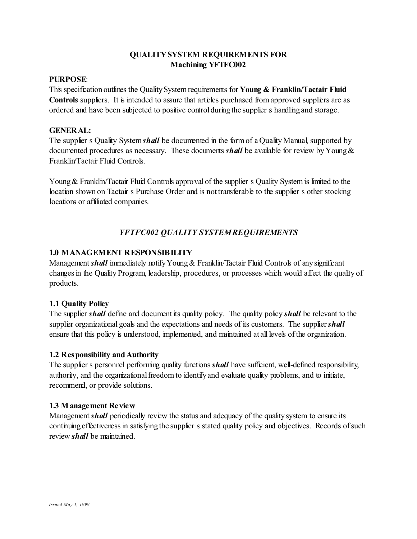#### **PURPOSE**:

This specification outlines the Quality System requirements for **Young & Franklin/Tactair Fluid Controls** suppliers. It is intended to assure that articles purchased from approved suppliers are as ordered and have been subjected to positive control during the supplier s handling and storage.

#### **GENERAL:**

The supplier s Quality System*shall* be documented in the form of a Quality Manual, supported by documented procedures as necessary. These documents *shall* be available for review by Young & Franklin/Tactair Fluid Controls.

Young & Franklin/Tactair Fluid Controls approval of the supplier s Quality System is limited to the location shown on Tactair s Purchase Order and is not transferable to the supplier s other stocking locations or affiliated companies.

# *YFTFC002 QUALITY SYSTEM REQUIREMENTS*

### **1.0 MANAGEMENT RESPONSIBILITY**

Management *shall* immediately notify Young & Franklin/Tactair Fluid Controls of any significant changes in the Quality Program, leadership, procedures, or processes which would affect the quality of products.

#### **1.1 Quality Policy**

The supplier *shall* define and document its quality policy. The quality policy *shall* be relevant to the supplier organizational goals and the expectations and needs of its customers. The supplier **shall** ensure that this policy is understood, implemented, and maintained at all levels of the organization.

#### **1.2 Responsibility and Authority**

The supplier s personnel performing quality functions *shall* have sufficient, well-defined responsibility, authority, and the organizational freedom to identify and evaluate quality problems, and to initiate, recommend, or provide solutions.

#### **1.3 Management Review**

Management *shall* periodically review the status and adequacy of the quality system to ensure its continuing effectiveness in satisfying the supplier s stated quality policy and objectives. Records of such review *shall* be maintained.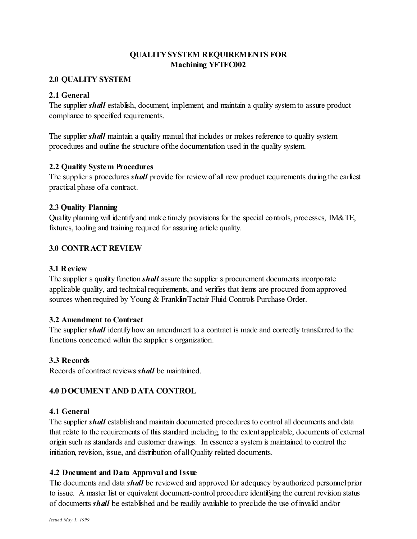### **2.0 QUALITY SYSTEM**

### **2.1 General**

The supplier *shall* establish, document, implement, and maintain a quality system to assure product compliance to specified requirements.

The supplier *shall* maintain a quality manual that includes or makes reference to quality system procedures and outline the structure of the documentation used in the quality system.

### **2.2 Quality System Procedures**

The supplier s procedures *shall* provide for review of all new product requirements during the earliest practical phase of a contract.

### **2.3 Quality Planning**

Quality planning will identify and make timely provisions for the special controls, processes, IM&TE, fixtures, tooling and training required for assuring article quality.

### **3.0 CONTRACT REVIEW**

### **3.1 Review**

The supplier s quality function *shall* assure the supplier s procurement documents incorporate applicable quality, and technical requirements, and verifies that items are procured from approved sources when required by Young & Franklin/Tactair Fluid Controls Purchase Order.

#### **3.2 Amendment to Contract**

The supplier *shall* identify how an amendment to a contract is made and correctly transferred to the functions concerned within the supplier s organization.

#### **3.3 Records**

Records of contract reviews *shall* be maintained.

## **4.0 DOCUMENT AND DATA CONTROL**

#### **4.1 General**

The supplier *shall* establish and maintain documented procedures to control all documents and data that relate to the requirements of this standard including, to the extent applicable, documents of external origin such as standards and customer drawings. In essence a system is maintained to control the initiation, revision, issue, and distribution of all Quality related documents.

## **4.2 Document and Data Approval and Issue**

The documents and data *shall* be reviewed and approved for adequacy by authorized personnel prior to issue. A master list or equivalent document-control procedure identifying the current revision status of documents *shall* be established and be readily available to preclude the use of invalid and/or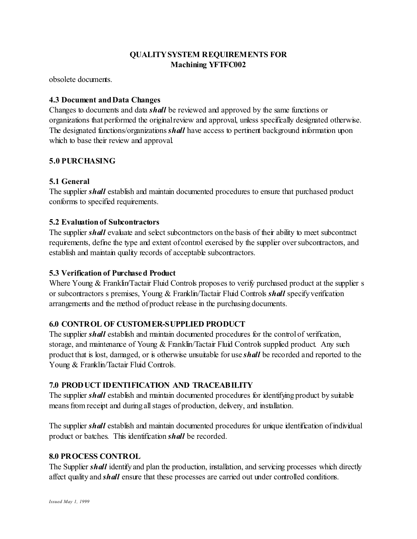obsolete documents.

## **4.3 Document and Data Changes**

Changes to documents and data *shall* be reviewed and approved by the same functions or organizations that performed the original review and approval, unless specifically designated otherwise. The designated functions/organizations *shall* have access to pertinent background information upon which to base their review and approval.

# **5.0 PURCHASING**

# **5.1 General**

The supplier *shall* establish and maintain documented procedures to ensure that purchased product conforms to specified requirements.

# **5.2 Evaluation of Subcontractors**

The supplier *shall* evaluate and select subcontractors on the basis of their ability to meet subcontract requirements, define the type and extent of control exercised by the supplier over subcontractors, and establish and maintain quality records of acceptable subcontractors.

# **5.3 Verification of Purchased Product**

Where Young & Franklin/Tactair Fluid Controls proposes to verify purchased product at the supplier s or subcontractors s premises, Young & Franklin/Tactair Fluid Controls *shall* specify verification arrangements and the method of product release in the purchasing documents.

# **6.0 CONTROL OF CUSTOMER-SUPPLIED PRODUCT**

The supplier *shall* establish and maintain documented procedures for the control of verification, storage, and maintenance of Young & Franklin/Tactair Fluid Controls supplied product. Any such product that is lost, damaged, or is otherwise unsuitable for use *shall* be recorded and reported to the Young & Franklin/Tactair Fluid Controls.

## **7.0 PRODUCT IDENTIFICATION AND TRACEABILITY**

The supplier *shall* establish and maintain documented procedures for identifying product by suitable means from receipt and during all stages of production, delivery, and installation.

The supplier *shall* establish and maintain documented procedures for unique identification of individual product or batches. This identification *shall* be recorded.

## **8.0 PROCESS CONTROL**

The Supplier *shall* identify and plan the production, installation, and servicing processes which directly affect quality and *shall* ensure that these processes are carried out under controlled conditions.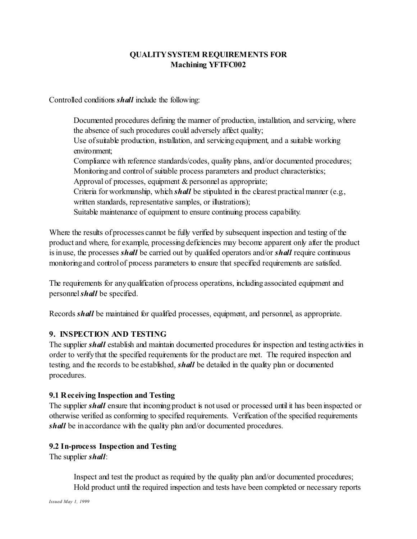Controlled conditions *shall* include the following:

Documented procedures defining the manner of production, installation, and servicing, where the absence of such procedures could adversely affect quality; Use of suitable production, installation, and servicing equipment, and a suitable working environment; Compliance with reference standards/codes, quality plans, and/or documented procedures; Monitoring and control of suitable process parameters and product characteristics; Approval of processes, equipment & personnel as appropriate; Criteria for workmanship, which *shall* be stipulated in the clearest practical manner (e.g., written standards, representative samples, or illustrations); Suitable maintenance of equipment to ensure continuing process capability.

Where the results of processes cannot be fully verified by subsequent inspection and testing of the product and where, for example, processing deficiencies may become apparent only after the product is in use, the processes *shall* be carried out by qualified operators and/or *shall* require continuous monitoring and control of process parameters to ensure that specified requirements are satisfied.

The requirements for any qualification of process operations, including associated equipment and personnel*shall* be specified.

Records *shall* be maintained for qualified processes, equipment, and personnel, as appropriate.

## **9. INSPECTION AND TESTING**

The supplier *shall* establish and maintain documented procedures for inspection and testing activities in order to verify that the specified requirements for the product are met. The required inspection and testing, and the records to be established, *shall* be detailed in the quality plan or documented procedures.

#### **9.1 Receiving Inspection and Testing**

The supplier *shall* ensure that incoming product is not used or processed until it has been inspected or otherwise verified as conforming to specified requirements. Verification of the specified requirements *shall* be in accordance with the quality plan and/or documented procedures.

#### **9.2 In-process Inspection and Testing**

The supplier *shall*:

Inspect and test the product as required by the quality plan and/or documented procedures; " Hold product until the required inspection and tests have been completed or necessary reports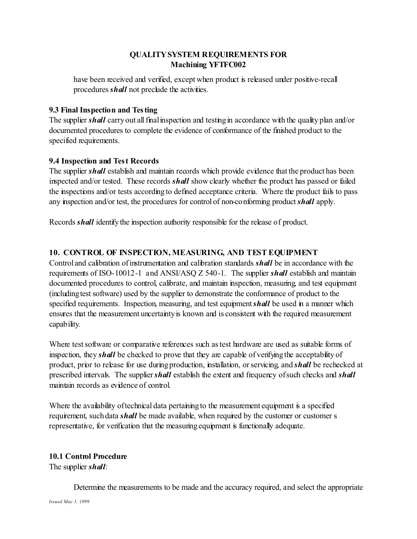have been received and verified, except when product is released under positive-recall procedures *shall* not preclude the activities.

### **9.3 Final Inspection and Testing**

The supplier *shall* carry out all final inspection and testing in accordance with the quality plan and/or documented procedures to complete the evidence of conformance of the finished product to the specified requirements.

### **9.4 Inspection and Test Records**

The supplier *shall* establish and maintain records which provide evidence that the product has been inspected and/or tested. These records *shall* show clearly whether the product has passed or failed the inspections and/or tests according to defined acceptance criteria. Where the product fails to pass any inspection and/or test, the procedures for control of non-conforming product *shall* apply.

Records *shall* identify the inspection authority responsible for the release of product.

## **10. CONTROL OF INSPECTION, MEASURING, AND TEST EQUIPMENT**

Control and calibration of instrumentation and calibration standards *shall* be in accordance with the requirements of ISO-10012-1 and ANSI/ASQ Z 540-1. The supplier *shall* establish and maintain documented procedures to control, calibrate, and maintain inspection, measuring, and test equipment (including test software) used by the supplier to demonstrate the conformance of product to the specified requirements. Inspection, measuring, and test equipment *shall* be used in a manner which ensures that the measurement uncertainty is known and is consistent with the required measurement capability.

Where test software or comparative references such as test hardware are used as suitable forms of inspection, they *shall* be checked to prove that they are capable of verifying the acceptability of product, prior to release for use during production, installation, or servicing, and *shall* be rechecked at prescribed intervals. The supplier *shall* establish the extent and frequency of such checks and *shall* maintain records as evidence of control.

Where the availability of technical data pertaining to the measurement equipment is a specified requirement, such data *shall* be made available, when required by the customer or customer s representative, for verification that the measuring equipment is functionally adequate.

## **10.1 Control Procedure**

The supplier *shall*:

Determine the measurements to be made and the accuracy required, and select the appropriate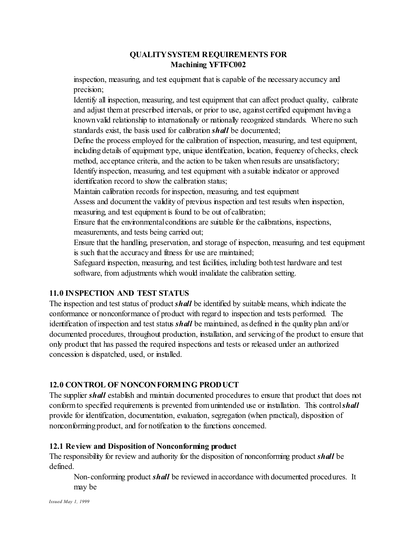inspection, measuring, and test equipment that is capable of the necessary accuracy and precision;

Identify all inspection, measuring, and test equipment that can affect product quality, calibrate and adjust them at prescribed intervals, or prior to use, against certified equipment having a known valid relationship to internationally or nationally recognized standards. Where no such standards exist, the basis used for calibration *shall* be documented;

Define the process employed for the calibration of inspection, measuring, and test equipment, including details of equipment type, unique identification, location, frequency of checks, check method, acceptance criteria, and the action to be taken when results are unsatisfactory; Identify inspection, measuring, and test equipment with a suitable indicator or approved identification record to show the calibration status;

Maintain calibration records for inspection, measuring, and test equipment

Assess and document the validity of previous inspection and test results when inspection, measuring, and test equipment is found to be out of calibration;

Ensure that the environmental conditions are suitable for the calibrations, inspections, measurements, and tests being carried out;

Ensure that the handling, preservation, and storage of inspection, measuring, and test equipment is such that the accuracy and fitness for use are maintained;

Safeguard inspection, measuring, and test facilities, including both test hardware and test software, from adjustments which would invalidate the calibration setting.

# **11.0 INSPECTION AND TEST STATUS**

The inspection and test status of product *shall* be identified by suitable means, which indicate the conformance or nonconformance of product with regard to inspection and tests performed. The identification of inspection and test status *shall* be maintained, as defined in the quality plan and/or documented procedures, throughout production, installation, and servicing of the product to ensure that only product that has passed the required inspections and tests or released under an authorized concession is dispatched, used, or installed.

# **12.0 CONTROL OF NONCONFORMING PRODUCT**

The supplier *shall* establish and maintain documented procedures to ensure that product that does not conform to specified requirements is prevented from unintended use or installation. This control*shall* provide for identification, documentation, evaluation, segregation (when practical), disposition of nonconforming product, and for notification to the functions concerned.

# **12.1 Review and Disposition of Nonconforming product**

The responsibility for review and authority for the disposition of nonconforming product *shall* be defined.

Non-conforming product *shall* be reviewed in accordance with documented procedures. It may be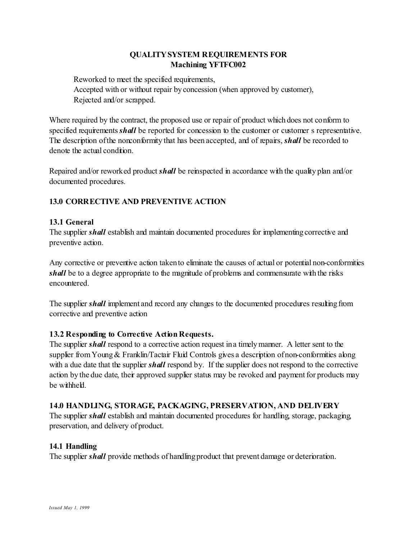Reworked to meet the specified requirements, Accepted with or without repair by concession (when approved by customer), Rejected and/or scrapped.

Where required by the contract, the proposed use or repair of product which does not conform to specified requirements *shall* be reported for concession to the customer or customer s representative. The description of the nonconformity that has been accepted, and of repairs, *shall* be recorded to denote the actual condition.

Repaired and/or reworked product *shall* be reinspected in accordance with the quality plan and/or documented procedures.

# **13.0 CORRECTIVE AND PREVENTIVE ACTION**

# **13.1 General**

The supplier *shall* establish and maintain documented procedures for implementing corrective and preventive action.

Any corrective or preventive action taken to eliminate the causes of actual or potential non-conformities *shall* be to a degree appropriate to the magnitude of problems and commensurate with the risks encountered.

The supplier *shall* implement and record any changes to the documented procedures resulting from corrective and preventive action

## **13.2 Responding to Corrective Action Requests.**

The supplier **shall** respond to a corrective action request in a timely manner. A letter sent to the supplier from Young & Franklin/Tactair Fluid Controls gives a description of non-conformities along with a due date that the supplier *shall* respond by. If the supplier does not respond to the corrective action by the due date, their approved supplier status may be revoked and payment for products may be withheld.

## **14.0 HANDLING, STORAGE, PACKAGING, PRESERVATION, AND DELIVERY**

The supplier *shall* establish and maintain documented procedures for handling, storage, packaging, preservation, and delivery of product.

## **14.1 Handling**

The supplier *shall* provide methods of handling product that prevent damage or deterioration.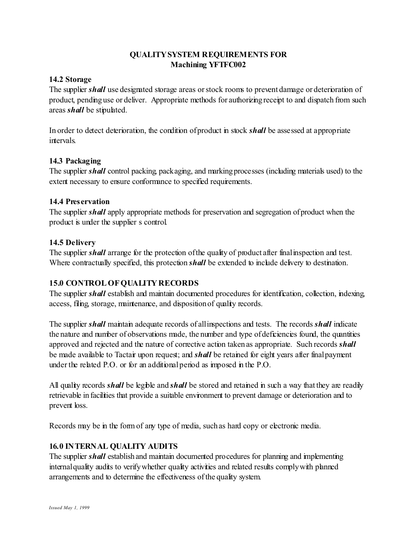#### **14.2 Storage**

The supplier *shall* use designated storage areas or stock rooms to prevent damage or deterioration of product, pending use or deliver. Appropriate methods for authorizing receipt to and dispatch from such areas *shall* be stipulated.

In order to detect deterioration, the condition of product in stock *shall* be assessed at appropriate intervals.

### **14.3 Packaging**

The supplier *shall* control packing, packaging, and marking processes (including materials used) to the extent necessary to ensure conformance to specified requirements.

### **14.4 Preservation**

The supplier *shall* apply appropriate methods for preservation and segregation of product when the product is under the supplier s control.

### **14.5 Delivery**

The supplier *shall* arrange for the protection of the quality of product after final inspection and test. Where contractually specified, this protection *shall* be extended to include delivery to destination.

## **15.0 CONTROL OF QUALITY RECORDS**

The supplier *shall* establish and maintain documented procedures for identification, collection, indexing, access, filing, storage, maintenance, and disposition of quality records.

The supplier *shall* maintain adequate records of all inspections and tests. The records *shall* indicate the nature and number of observations made, the number and type of deficiencies found, the quantities approved and rejected and the nature of corrective action taken as appropriate. Such records *shall* be made available to Tactair upon request; and *shall* be retained for eight years after final payment under the related P.O. or for an additional period as imposed in the P.O.

All quality records *shall* be legible and *shall* be stored and retained in such a way that they are readily retrievable in facilities that provide a suitable environment to prevent damage or deterioration and to prevent loss.

Records may be in the form of any type of media, such as hard copy or electronic media.

## **16.0 INTERNAL QUALITY AUDITS**

The supplier *shall* establish and maintain documented procedures for planning and implementing internal quality audits to verify whether quality activities and related results comply with planned arrangements and to determine the effectiveness of the quality system.